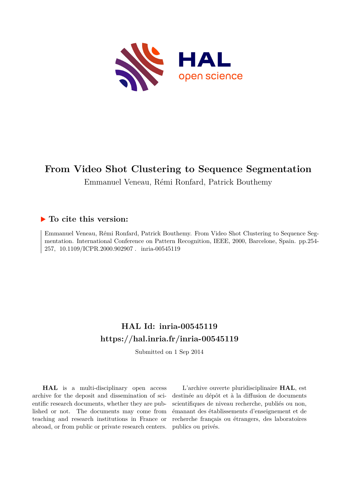

## **From Video Shot Clustering to Sequence Segmentation**

Emmanuel Veneau, Rémi Ronfard, Patrick Bouthemy

## **To cite this version:**

Emmanuel Veneau, Rémi Ronfard, Patrick Bouthemy. From Video Shot Clustering to Sequence Segmentation. International Conference on Pattern Recognition, IEEE, 2000, Barcelone, Spain. pp.254- 257, 10.1109/ICPR.2000.902907. inria-00545119

# **HAL Id: inria-00545119 <https://hal.inria.fr/inria-00545119>**

Submitted on 1 Sep 2014

**HAL** is a multi-disciplinary open access archive for the deposit and dissemination of scientific research documents, whether they are published or not. The documents may come from teaching and research institutions in France or abroad, or from public or private research centers.

L'archive ouverte pluridisciplinaire **HAL**, est destinée au dépôt et à la diffusion de documents scientifiques de niveau recherche, publiés ou non, émanant des établissements d'enseignement et de recherche français ou étrangers, des laboratoires publics ou privés.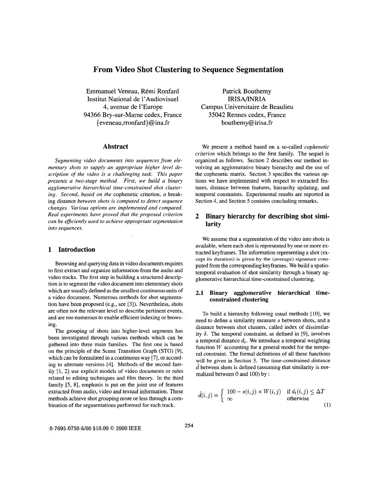## **From Video Shot Clustering to Sequence Segmentation**

Emmanuel Veneau, Rémi Ronfard Institut National de l'Audiovisuel IRISA/INRIA 4, avenue de 1'Europe 94366 Bry-sur-Mame cedex, France  ${e}$  eveneau,rronfard $\{a\}$  ina.fr bouthemy $@$  [irisa.fr](http://irisa.fr)

#### **Abstract**

*Segmenting video documents into sequences from elementary shots to supply an appropriate higher level description of the video is a challenging task. This paper presents a two-stage method. First, we build a binary agglomerative hierarchical time-constrained shot clustering. Second, based on the* cophenetic criterion, *a* breaking distance *between shots is computed to detect sequence changes. Various options are implemented and compared. Real experiments have proved that the proposed criterion can be efficiently used to achieve appropriate segmentation into sequences.* 

#### **1 Introduction**

Browsing and querying data in video documents requires to first extract and organize information from the audio and video tracks. The first step in building a structured description is to segment the video document into elementary shots which are usually defined as the smallest continuous units of a video document, Numerous methods for shot segmentation have been proposed (e.g., see *[3]).* Nevertheless, shots are often not the relevant level to describe pertinent events, and are too numerous to enable efficient indexing or browsing.

The grouping of shots into higher-level segments has been investigated through various methods which can be gathered into three main families. The first one is based on the principle of the Scene Transition Graph (STG) [91, which can be formulated in a continuous way [7], or according to alternate versions [4]. Methods of the second family [1, 2] use explicit models of video documents or rules related to editing techniques and film theory. In the third family [5, 81, emphasis is put on the joint use of features extracted from audio, video and textual information. These methods achieve shot grouping more or less through a combination of the segmentations performed for each track.

Patrick Bouthemy Campus Universitaire de Beaulieu 35042 Rennes cedex, France

We present **a** method based on a so-called *copherretic criterion* which belongs to the first family. The sequel is organized as follows. Section 2 describes our method involving an agglomerative binary hierarchy and the use of the cophenetic matrix. Section 3 specifies the various options we have implemented with respect to extracted features, distance between features, hierarchy updating, and temporal constraints. Experimental results are reported in Section 4, and Section 5 contains concluding remarks.

## **2 Binary hierarchy for describing shot similarity**

We assume that a segmentation of the video into shots is available, where each shot is represented by one or more extracted keyframes. The information representing a shot (ex**cept its duration) is given by the (average) signature com**puted from the corresponding keyframes. We build a spatiotemporal evaluation of shot similarity through a binary agglomerative hierarchical time-constrained clustering.

## **2.1 Binary agglomerative hierarchical timeconstrained clustering**

To build a hierarchy following usual methods [10], we need to define a similarity measure *s* between shots, and a distance between shot clusters, called index of dissimilarity  $\delta$ . The temporal constraint, as defined in [9], involves a temporal distance  $d_t$ . We introduce a temporal weighting function *W* accounting for a general model for the temporal constraint. The formal definitions of all these functions will be given in Section 3. The time-constrained distance  $d$  between shots is defined (assuming that similarity is normalized between 0 and 100) by :

$$
\tilde{d}(i,j) = \begin{cases} 100 - s(i,j) \times W(i,j) & \text{if } d_t(i,j) \le \Delta T \\ \infty & \text{otherwise} \end{cases} \tag{1}
$$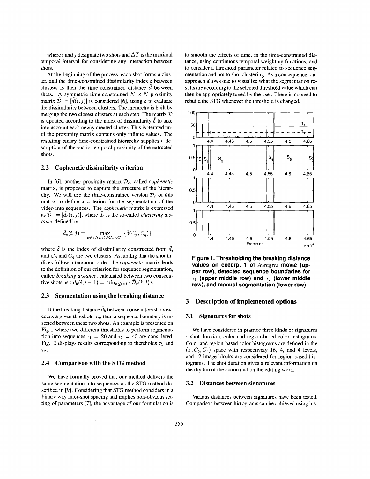where *i* and *j* designate two shots and  $\Delta T$  is the maximal temporal interval for considering any interaction between shots.

At the beginning of the process, each shot forms a cluster, and the time-constrained dissimilarity index  $\delta$  between clusters is then the time-constrained distance d between shots. A symmetric time-constrained  $N \times N$  proximity matrix  $\hat{\mathcal{D}} = [\hat{d}(i, j)]$  is considered [6], using  $\delta$  to evaluate the dissimilarity between clusters. The hierarchy is built by merging the two closest clusters at each step. The matrix  $\tilde{\mathcal{D}}$ is updated according to the index of dissimilarity  $\delta$  to take into account each newly created cluster. This is iterated until the proximity matrix contains only infinite values. The resulting binary time-constrained hierarchy supplies a description of the spatio-temporal proximity of the extracted shots.

#### **2.2 Cophenetic dissimilarity criterion**

In [6], another proximity matrix  $\mathcal{D}_c$ , called *cophenetic* matrix, is proposed to capture the structure of the hierarchy. We will use the time-constrained version  $\tilde{\mathcal{D}}_c$  of this matrix to define a criterion for the segmentation of the video into sequences. The *cophenetic* matrix is expressed as  $\tilde{\mathcal{D}}_c = [\tilde{d}_c(i, j)]$ , where  $\tilde{d}_c$  is the so-called *clustering distance* defined by :

$$
\tilde{d}_c(i,j) = \max_{p \neq q/(i,j) \in C_p \times C_q} \{ \tilde{\delta}(C_p, C_q) \}
$$

where  $\tilde{\delta}$  is the index of dissimilarity constructed from  $\tilde{d}$ , and  $C_p$  and  $C_q$  are two clusters. Assuming that the shot indices follow a temporal order, the *copkenetic* matrix leads to the definition of our criterion for sequence segmentation, called *breaking distance,* calculated between two consecutive shots as :  $\tilde{d}_b(i, i + 1) = \min_{k \leq i \leq l} {\{\tilde{\mathcal{D}}_c(k, l)\}}.$ 

#### **2.3 Segmentation using the breaking distance**

If the breaking distance  $\tilde{d}_b$  between consecutive shots exceeds a given threshold  $\tau_c$ , then a sequence boundary is inserted between these two shots. An example is presented on Fig 1 where two different thresholds to perform segmentation into sequences  $\tau_1 = 20$  and  $\tau_2 = 45$  are considered. [Fig.](#page-3-0) 2 displays results corresponding to thersholds  $\tau_1$  and **72.** 

#### **2.4 Comparison with the STG method**

We have formally proved that our method delivers the same segmentation into sequences as the STG method described in **[9].** Considering that STG method considers in a binary way inter-shot spacing and implies non-obvious setting of parameters *[7],* the advantage of our formulation is to smooth the effects of time, in the time-constrained distance, using continuous temporal weighting functions, and to consider a threshold parameter related to sequence segmentation and not to shot clustering. As a consequence, our approach allows one to visualize what the segmentation results are according to the selected threshold value which can then be appropriately tuned by the user. There is no need to rebuild the **STG** whenever the threshold is changed.



**Figure 1. Thresholding the breaking distance values on excerpt 1 of** *Avengers* **movie (upper row), detected sequence boundaries for**   $\tau_1$  (upper middle row) and  $\tau_2$  (lower middle **row), and manual segmentation (lower row)** 

#### **3 Description of implemented options**

#### **3.1 Signatures for shots**

We have considered in pratrice three kinds of signatures : shot duration, color and region-based color histograms. Color and region-based color histograms are defined in the  $(Y, C_b, C_r)$  space with respectively 16, 4, and 4 levels, and 12 image blocks are considered for region-based histograms. The shot duration gives a relevant information on the rhythm of the action and on the editing work.

#### **3.2 Distances between signatures**

Various distances between signatures have been tested. Comparison between histograms can be achieved using his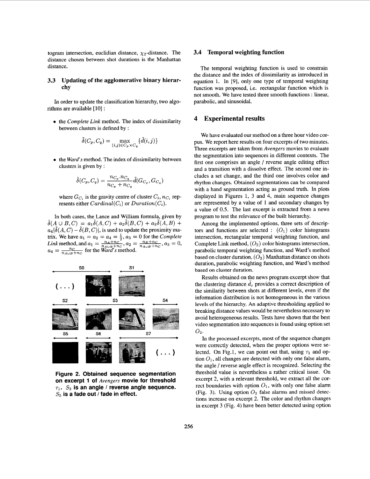<span id="page-3-0"></span>togram intersection, euclidian distance,  $\chi_2$ -distance. The distance chosen between shot durations is the Manhattan distance.

### **3.3 Updating of the agglomerative binary hierarchy**

In order to update the classification hierarchy, two algorithms are available [ 101 :

**e** the *Complete Link* method. The index of dissimilarity between clusters is defined by :

$$
\tilde{\delta}(C_p, C_q) = \max_{(i,j) \in C_p \times C_q} \{ \tilde{d}(i,j) \}
$$

**e** the *Ward's* method. The index of dissimilarity between clusters is given by :

$$
\tilde{\delta}(C_p, C_q) = \frac{n_{C_p}.n_{C_q}}{n_{C_p} + n_{C_q}} \tilde{d}(G_{C_p}, G_{C_q})
$$

where  $G_{C_i}$  is the gravity centre of cluster  $C_i$ ,  $n_{C_i}$  represents either  $Cardinal(C_i)$  or  $Duration(C_i)$ .

In both cases, the Lance and William formula, given by  $\delta(A \cup B, C) = a_1 \delta(A, C) + a_2 \delta(B, C) + a_3 \delta(A, B) +$  $a_4|\delta(A, C) - \delta(B, C)|$ , is used to update the proximity matrix. We have  $a_1 = a_2 = a_4 = \frac{1}{2}$ ,  $a_3 = 0$  for the *Complete*  $a_4 = \frac{n_C}{n_{A\cup B}+n_C}$  for the *Ward's* method. *Link* method, and  $a_1 = \frac{n_A + n_C^2}{n_A \omega_B + n_C}$ ,  $a_2 = \frac{n_B + n_C}{n_A \omega_B + n_C}$ ,  $a_3 = 0$ ,



**Figure 2. Obtained sequence segmentation on excerpt 1 of** *Avengers* **movie for threshold**   $\tau_1$ .  $S_3$  is an angle */* reverse angle sequence. *S5* **is a fade out** *I* **fade in effect.** 

#### **3.4 Temporal weighting function**

The temporal weighting function is used to constrain the distance and the index of dissimilarity as introduced in equation 1. In [9], only one type of temporal weighting function was proposed, i.e. rectangular function which is not smooth. We have tested three smooth functions : linear, parabolic, and sinusoidal.

### **4 Experimental results**

We have evaluated our method on a three hour video corpus. We report here results on four excerpts of two minutes. Three excerpts are taken from *Avengers* movies to evaluate the segmentation into sequences in different contexts. The first one comprises an angle / reverse angle editing effect and a transition with a dissolve effect. The second one includes a set change, and the third one involves color and rhythm changes. Obtained segmentations can be compared with a hand segmentation acting as ground truth. In plots displayed in Figures 1, 3 and 4, main sequence changes are represented by a value of 1 and secondary changes by a value of 0.5. The last excerpt is extracted from a news program to test the relevance of the built hierarchy.

Among the implemented options, three sets of descriptors and functions are selected :  $(O_1)$  color histograms intersection, rectangular temporal weighting function, and Complete Link method,  $(O_2)$  color histograms intersection, parabolic temporal weighting function, and Ward's method based on cluster duration, *(03)* Manhattan distance on shots duration, parabolic weighting function, and Ward's method based on cluster duration.

Results obtained on the news program excerpt show that the clustering distance  $\tilde{d}_c$  provides a correct description of the similarity between shots at different levels, even if the information distribution is not homogeneous in the various levels of the hierarchy. **An** adaptive thresholding applied **to**  breaking distance values would be nevertheless necessary to avoid heterogeneous results. Tests have shown that the best video segmentation into sequences is found using option set  $O_2$ .

In the processed excerpts, most of the sequence changes were correctly detected, when the proper options were selected. On Fig.1, we can point out that, using  $\tau_1$  and option  $O_1$ , all changes are detected with only one false alarm, the angle / reverse angle effect is recognized. Selecting the threshold value is nevertheless a rather critical issue. On excerpt 2, with a relevant threshold, we extract all the correct boundaries with option *01,* with only one false alarm (Fig. 3). Using option  $O_2$  false alarms and missed detections increase on excerpt 2. The color and rhythm changes in excerpt 3 (Fig. 4) have been better detected using option